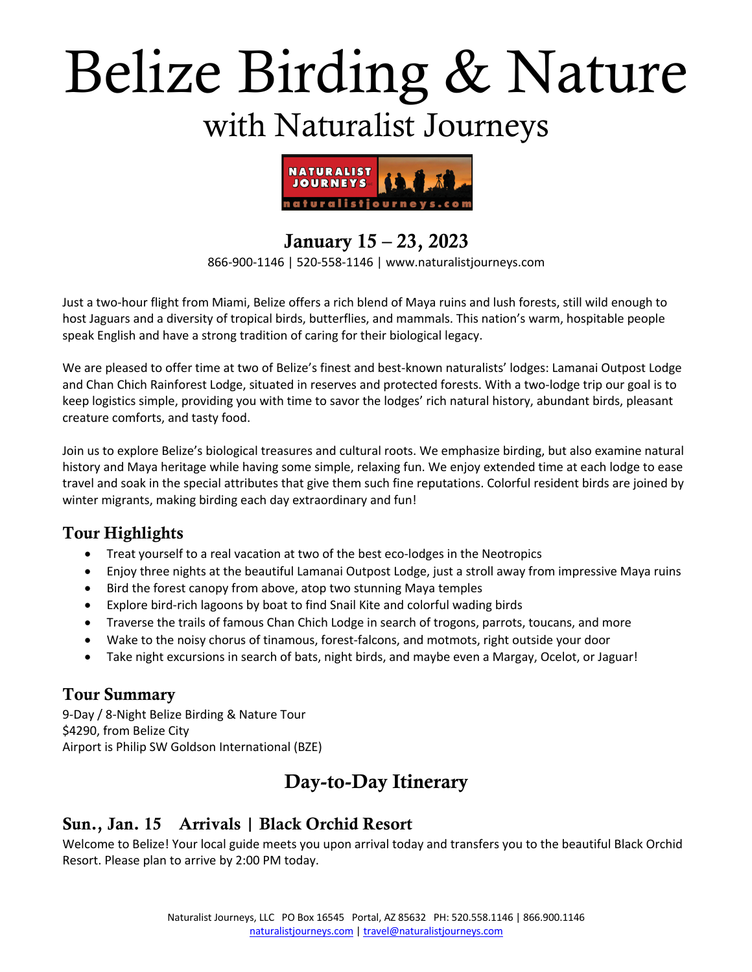# Belize Birding & Nature with Naturalist Journeys



January 15 – 23, 2023

866-900-1146 | 520-558-1146 | www.naturalistjourneys.com

Just a two-hour flight from Miami, Belize offers a rich blend of Maya ruins and lush forests, still wild enough to host Jaguars and a diversity of tropical birds, butterflies, and mammals. This nation's warm, hospitable people speak English and have a strong tradition of caring for their biological legacy.

We are pleased to offer time at two of Belize's finest and best-known naturalists' lodges: Lamanai Outpost Lodge and Chan Chich Rainforest Lodge, situated in reserves and protected forests. With a two-lodge trip our goal is to keep logistics simple, providing you with time to savor the lodges' rich natural history, abundant birds, pleasant creature comforts, and tasty food.

Join us to explore Belize's biological treasures and cultural roots. We emphasize birding, but also examine natural history and Maya heritage while having some simple, relaxing fun. We enjoy extended time at each lodge to ease travel and soak in the special attributes that give them such fine reputations. Colorful resident birds are joined by winter migrants, making birding each day extraordinary and fun!

# Tour Highlights

- Treat yourself to a real vacation at two of the best eco-lodges in the Neotropics
- Enjoy three nights at the beautiful Lamanai Outpost Lodge, just a stroll away from impressive Maya ruins
- Bird the forest canopy from above, atop two stunning Maya temples
- Explore bird-rich lagoons by boat to find Snail Kite and colorful wading birds
- Traverse the trails of famous Chan Chich Lodge in search of trogons, parrots, toucans, and more
- Wake to the noisy chorus of tinamous, forest-falcons, and motmots, right outside your door
- Take night excursions in search of bats, night birds, and maybe even a Margay, Ocelot, or Jaguar!

# Tour Summary

9-Day / 8-Night Belize Birding & Nature Tour \$4290, from Belize City Airport is Philip SW Goldson International (BZE)

# Day-to-Day Itinerary

# Sun., Jan. 15 Arrivals | Black Orchid Resort

Welcome to Belize! Your local guide meets you upon arrival today and transfers you to the beautiful Black Orchid Resort. Please plan to arrive by 2:00 PM today.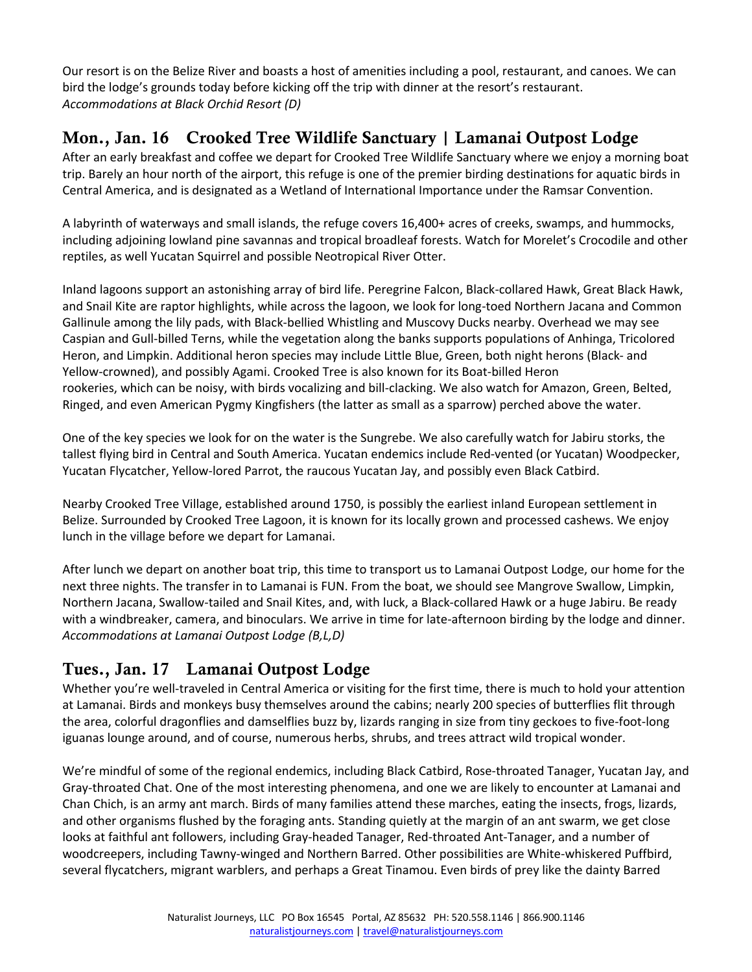Our resort is on the Belize River and boasts a host of amenities including a pool, restaurant, and canoes. We can bird the lodge's grounds today before kicking off the trip with dinner at the resort's restaurant. *Accommodations at Black Orchid Resort (D)*

# Mon., Jan. 16 Crooked Tree Wildlife Sanctuary | Lamanai Outpost Lodge

After an early breakfast and coffee we depart for Crooked Tree Wildlife Sanctuary where we enjoy a morning boat trip. Barely an hour north of the airport, this refuge is one of the premier birding destinations for aquatic birds in Central America, and is designated as a Wetland of International Importance under the Ramsar Convention.

A labyrinth of waterways and small islands, the refuge covers 16,400+ acres of creeks, swamps, and hummocks, including adjoining lowland pine savannas and tropical broadleaf forests. Watch for Morelet's Crocodile and other reptiles, as well Yucatan Squirrel and possible Neotropical River Otter.

Inland lagoons support an astonishing array of bird life. Peregrine Falcon, Black-collared Hawk, Great Black Hawk, and Snail Kite are raptor highlights, while across the lagoon, we look for long-toed Northern Jacana and Common Gallinule among the lily pads, with Black-bellied Whistling and Muscovy Ducks nearby. Overhead we may see Caspian and Gull-billed Terns, while the vegetation along the banks supports populations of Anhinga, Tricolored Heron, and Limpkin. Additional heron species may include Little Blue, Green, both night herons (Black- and Yellow-crowned), and possibly Agami. Crooked Tree is also known for its Boat-billed Heron rookeries, which can be noisy, with birds vocalizing and bill-clacking. We also watch for Amazon, Green, Belted, Ringed, and even American Pygmy Kingfishers (the latter as small as a sparrow) perched above the water.

One of the key species we look for on the water is the Sungrebe. We also carefully watch for Jabiru storks, the tallest flying bird in Central and South America. Yucatan endemics include Red-vented (or Yucatan) Woodpecker, Yucatan Flycatcher, Yellow-lored Parrot, the raucous Yucatan Jay, and possibly even Black Catbird.

Nearby Crooked Tree Village, established around 1750, is possibly the earliest inland European settlement in Belize. Surrounded by Crooked Tree Lagoon, it is known for its locally grown and processed cashews. We enjoy lunch in the village before we depart for Lamanai.

After lunch we depart on another boat trip, this time to transport us to Lamanai Outpost Lodge, our home for the next three nights. The transfer in to Lamanai is FUN. From the boat, we should see Mangrove Swallow, Limpkin, Northern Jacana, Swallow-tailed and Snail Kites, and, with luck, a Black-collared Hawk or a huge Jabiru. Be ready with a windbreaker, camera, and binoculars. We arrive in time for late-afternoon birding by the lodge and dinner. *Accommodations at Lamanai Outpost Lodge (B,L,D)*

# Tues., Jan. 17 Lamanai Outpost Lodge

Whether you're well-traveled in Central America or visiting for the first time, there is much to hold your attention at Lamanai. Birds and monkeys busy themselves around the cabins; nearly 200 species of butterflies flit through the area, colorful dragonflies and damselflies buzz by, lizards ranging in size from tiny geckoes to five-foot-long iguanas lounge around, and of course, numerous herbs, shrubs, and trees attract wild tropical wonder.

We're mindful of some of the regional endemics, including Black Catbird, Rose-throated Tanager, Yucatan Jay, and Gray-throated Chat. One of the most interesting phenomena, and one we are likely to encounter at Lamanai and Chan Chich, is an army ant march. Birds of many families attend these marches, eating the insects, frogs, lizards, and other organisms flushed by the foraging ants. Standing quietly at the margin of an ant swarm, we get close looks at faithful ant followers, including Gray-headed Tanager, Red-throated Ant-Tanager, and a number of woodcreepers, including Tawny-winged and Northern Barred. Other possibilities are White-whiskered Puffbird, several flycatchers, migrant warblers, and perhaps a Great Tinamou. Even birds of prey like the dainty Barred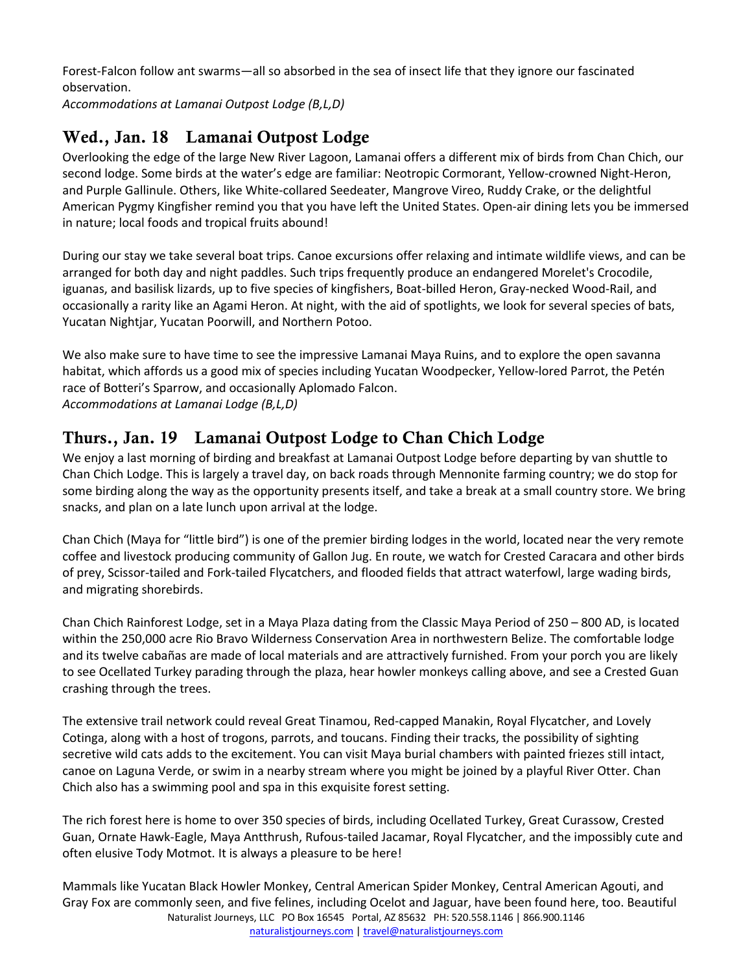Forest-Falcon follow ant swarms―all so absorbed in the sea of insect life that they ignore our fascinated observation.

*Accommodations at Lamanai Outpost Lodge (B,L,D)*

# Wed., Jan. 18 Lamanai Outpost Lodge

Overlooking the edge of the large New River Lagoon, Lamanai offers a different mix of birds from Chan Chich, our second lodge. Some birds at the water's edge are familiar: Neotropic Cormorant, Yellow-crowned Night-Heron, and Purple Gallinule. Others, like White-collared Seedeater, Mangrove Vireo, Ruddy Crake, or the delightful American Pygmy Kingfisher remind you that you have left the United States. Open-air dining lets you be immersed in nature; local foods and tropical fruits abound!

During our stay we take several boat trips. Canoe excursions offer relaxing and intimate wildlife views, and can be arranged for both day and night paddles. Such trips frequently produce an endangered Morelet's Crocodile, iguanas, and basilisk lizards, up to five species of kingfishers, Boat-billed Heron, Gray-necked Wood-Rail, and occasionally a rarity like an Agami Heron. At night, with the aid of spotlights, we look for several species of bats, Yucatan Nightjar, Yucatan Poorwill, and Northern Potoo.

We also make sure to have time to see the impressive Lamanai Maya Ruins, and to explore the open savanna habitat, which affords us a good mix of species including Yucatan Woodpecker, Yellow-lored Parrot, the Petén race of Botteri's Sparrow, and occasionally Aplomado Falcon. *Accommodations at Lamanai Lodge (B,L,D)*

# Thurs., Jan. 19 Lamanai Outpost Lodge to Chan Chich Lodge

We enjoy a last morning of birding and breakfast at Lamanai Outpost Lodge before departing by van shuttle to Chan Chich Lodge. This is largely a travel day, on back roads through Mennonite farming country; we do stop for some birding along the way as the opportunity presents itself, and take a break at a small country store. We bring snacks, and plan on a late lunch upon arrival at the lodge.

Chan Chich (Maya for "little bird") is one of the premier birding lodges in the world, located near the very remote coffee and livestock producing community of Gallon Jug. En route, we watch for Crested Caracara and other birds of prey, Scissor-tailed and Fork-tailed Flycatchers, and flooded fields that attract waterfowl, large wading birds, and migrating shorebirds.

Chan Chich Rainforest Lodge, set in a Maya Plaza dating from the Classic Maya Period of 250 – 800 AD, is located within the 250,000 acre Rio Bravo Wilderness Conservation Area in northwestern Belize. The comfortable lodge and its twelve cabañas are made of local materials and are attractively furnished. From your porch you are likely to see Ocellated Turkey parading through the plaza, hear howler monkeys calling above, and see a Crested Guan crashing through the trees.

The extensive trail network could reveal Great Tinamou, Red-capped Manakin, Royal Flycatcher, and Lovely Cotinga, along with a host of trogons, parrots, and toucans. Finding their tracks, the possibility of sighting secretive wild cats adds to the excitement. You can visit Maya burial chambers with painted friezes still intact, canoe on Laguna Verde, or swim in a nearby stream where you might be joined by a playful River Otter. Chan Chich also has a swimming pool and spa in this exquisite forest setting.

The rich forest here is home to over 350 species of birds, including Ocellated Turkey, Great Curassow, Crested Guan, Ornate Hawk-Eagle, Maya Antthrush, Rufous-tailed Jacamar, Royal Flycatcher, and the impossibly cute and often elusive Tody Motmot. It is always a pleasure to be here!

Naturalist Journeys, LLC PO Box 16545 Portal, AZ 85632 PH: 520.558.1146 | 866.900.1146 naturalistjourneys.com | travel@naturalistjourneys.com Mammals like Yucatan Black Howler Monkey, Central American Spider Monkey, Central American Agouti, and Gray Fox are commonly seen, and five felines, including Ocelot and Jaguar, have been found here, too. Beautiful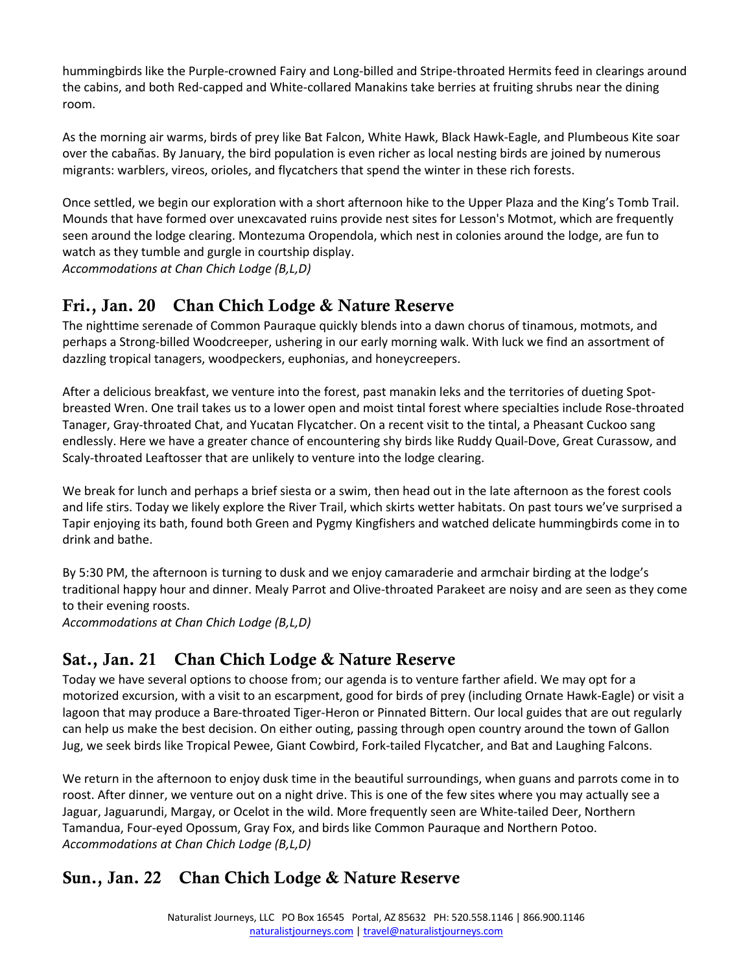hummingbirds like the Purple-crowned Fairy and Long-billed and Stripe-throated Hermits feed in clearings around the cabins, and both Red-capped and White-collared Manakins take berries at fruiting shrubs near the dining room.

As the morning air warms, birds of prey like Bat Falcon, White Hawk, Black Hawk-Eagle, and Plumbeous Kite soar over the cabañas. By January, the bird population is even richer as local nesting birds are joined by numerous migrants: warblers, vireos, orioles, and flycatchers that spend the winter in these rich forests.

Once settled, we begin our exploration with a short afternoon hike to the Upper Plaza and the King's Tomb Trail. Mounds that have formed over unexcavated ruins provide nest sites for Lesson's Motmot, which are frequently seen around the lodge clearing. Montezuma Oropendola, which nest in colonies around the lodge, are fun to watch as they tumble and gurgle in courtship display.

*Accommodations at Chan Chich Lodge (B,L,D)*

# Fri., Jan. 20 Chan Chich Lodge & Nature Reserve

The nighttime serenade of Common Pauraque quickly blends into a dawn chorus of tinamous, motmots, and perhaps a Strong-billed Woodcreeper, ushering in our early morning walk. With luck we find an assortment of dazzling tropical tanagers, woodpeckers, euphonias, and honeycreepers.

After a delicious breakfast, we venture into the forest, past manakin leks and the territories of dueting Spotbreasted Wren. One trail takes us to a lower open and moist tintal forest where specialties include Rose-throated Tanager, Gray-throated Chat, and Yucatan Flycatcher. On a recent visit to the tintal, a Pheasant Cuckoo sang endlessly. Here we have a greater chance of encountering shy birds like Ruddy Quail-Dove, Great Curassow, and Scaly-throated Leaftosser that are unlikely to venture into the lodge clearing.

We break for lunch and perhaps a brief siesta or a swim, then head out in the late afternoon as the forest cools and life stirs. Today we likely explore the River Trail, which skirts wetter habitats. On past tours we've surprised a Tapir enjoying its bath, found both Green and Pygmy Kingfishers and watched delicate hummingbirds come in to drink and bathe.

By 5:30 PM, the afternoon is turning to dusk and we enjoy camaraderie and armchair birding at the lodge's traditional happy hour and dinner. Mealy Parrot and Olive-throated Parakeet are noisy and are seen as they come to their evening roosts.

*Accommodations at Chan Chich Lodge (B,L,D)*

# Sat., Jan. 21 Chan Chich Lodge & Nature Reserve

Today we have several options to choose from; our agenda is to venture farther afield. We may opt for a motorized excursion, with a visit to an escarpment, good for birds of prey (including Ornate Hawk-Eagle) or visit a lagoon that may produce a Bare-throated Tiger-Heron or Pinnated Bittern. Our local guides that are out regularly can help us make the best decision. On either outing, passing through open country around the town of Gallon Jug, we seek birds like Tropical Pewee, Giant Cowbird, Fork-tailed Flycatcher, and Bat and Laughing Falcons.

We return in the afternoon to enjoy dusk time in the beautiful surroundings, when guans and parrots come in to roost. After dinner, we venture out on a night drive. This is one of the few sites where you may actually see a Jaguar, Jaguarundi, Margay, or Ocelot in the wild. More frequently seen are White-tailed Deer, Northern Tamandua, Four-eyed Opossum, Gray Fox, and birds like Common Pauraque and Northern Potoo. *Accommodations at Chan Chich Lodge (B,L,D)*

# Sun., Jan. 22 Chan Chich Lodge & Nature Reserve